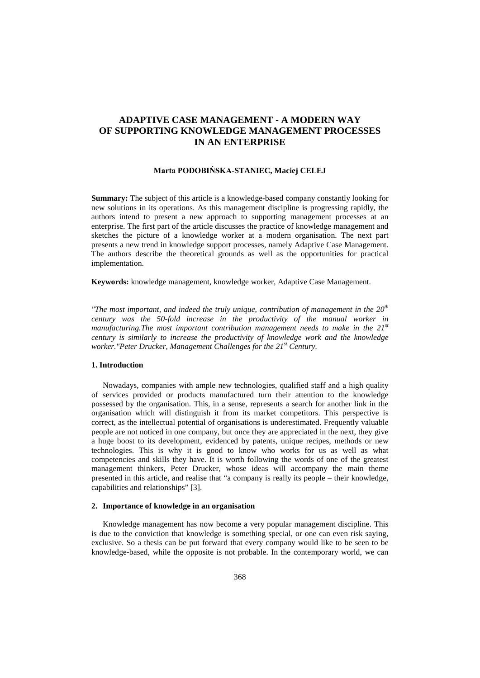# **ADAPTIVE CASE MANAGEMENT - A MODERN WAY OF SUPPORTING KNOWLEDGE MANAGEMENT PROCESSES IN AN ENTERPRISE**

# **Marta PODOBIŃSKA-STANIEC, Maciej CELEJ**

**Summary:** The subject of this article is a knowledge-based company constantly looking for new solutions in its operations. As this management discipline is progressing rapidly, the authors intend to present a new approach to supporting management processes at an enterprise. The first part of the article discusses the practice of knowledge management and sketches the picture of a knowledge worker at a modern organisation. The next part presents a new trend in knowledge support processes, namely Adaptive Case Management. The authors describe the theoretical grounds as well as the opportunities for practical implementation.

**Keywords:** knowledge management, knowledge worker, Adaptive Case Management.

*"The most important, and indeed the truly unique, contribution of management in the 20th century was the 50-fold increase in the productivity of the manual worker in manufacturing.The most important contribution management needs to make in the 21st century is similarly to increase the productivity of knowledge work and the knowledge worker."Peter Drucker, Management Challenges for the 21st Century.*

# **1. Introduction**

Nowadays, companies with ample new technologies, qualified staff and a high quality of services provided or products manufactured turn their attention to the knowledge possessed by the organisation. This, in a sense, represents a search for another link in the organisation which will distinguish it from its market competitors. This perspective is correct, as the intellectual potential of organisations is underestimated. Frequently valuable people are not noticed in one company, but once they are appreciated in the next, they give a huge boost to its development, evidenced by patents, unique recipes, methods or new technologies. This is why it is good to know who works for us as well as what competencies and skills they have. It is worth following the words of one of the greatest management thinkers, Peter Drucker, whose ideas will accompany the main theme presented in this article, and realise that "a company is really its people – their knowledge, capabilities and relationships" [3].

# **2. Importance of knowledge in an organisation**

Knowledge management has now become a very popular management discipline. This is due to the conviction that knowledge is something special, or one can even risk saying, exclusive. So a thesis can be put forward that every company would like to be seen to be knowledge-based, while the opposite is not probable. In the contemporary world, we can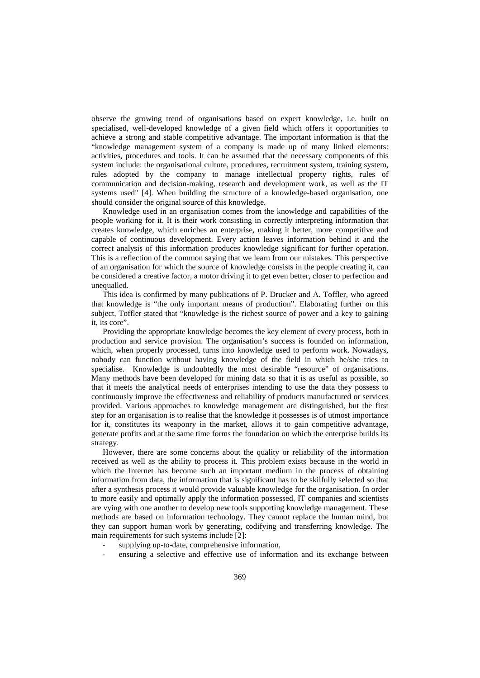observe the growing trend of organisations based on expert knowledge, i.e. built on specialised, well-developed knowledge of a given field which offers it opportunities to achieve a strong and stable competitive advantage. The important information is that the "knowledge management system of a company is made up of many linked elements: activities, procedures and tools. It can be assumed that the necessary components of this system include: the organisational culture, procedures, recruitment system, training system, rules adopted by the company to manage intellectual property rights, rules of communication and decision-making, research and development work, as well as the IT systems used" [4]. When building the structure of a knowledge-based organisation, one should consider the original source of this knowledge.

Knowledge used in an organisation comes from the knowledge and capabilities of the people working for it. It is their work consisting in correctly interpreting information that creates knowledge, which enriches an enterprise, making it better, more competitive and capable of continuous development. Every action leaves information behind it and the correct analysis of this information produces knowledge significant for further operation. This is a reflection of the common saying that we learn from our mistakes. This perspective of an organisation for which the source of knowledge consists in the people creating it, can be considered a creative factor, a motor driving it to get even better, closer to perfection and unequalled.

This idea is confirmed by many publications of P. Drucker and A. Toffler, who agreed that knowledge is "the only important means of production". Elaborating further on this subject, Toffler stated that "knowledge is the richest source of power and a key to gaining it, its core".

Providing the appropriate knowledge becomes the key element of every process, both in production and service provision. The organisation's success is founded on information, which, when properly processed, turns into knowledge used to perform work. Nowadays, nobody can function without having knowledge of the field in which he/she tries to specialise. Knowledge is undoubtedly the most desirable "resource" of organisations. Many methods have been developed for mining data so that it is as useful as possible, so that it meets the analytical needs of enterprises intending to use the data they possess to continuously improve the effectiveness and reliability of products manufactured or services provided. Various approaches to knowledge management are distinguished, but the first step for an organisation is to realise that the knowledge it possesses is of utmost importance for it, constitutes its weaponry in the market, allows it to gain competitive advantage, generate profits and at the same time forms the foundation on which the enterprise builds its strategy.

However, there are some concerns about the quality or reliability of the information received as well as the ability to process it. This problem exists because in the world in which the Internet has become such an important medium in the process of obtaining information from data, the information that is significant has to be skilfully selected so that after a synthesis process it would provide valuable knowledge for the organisation. In order to more easily and optimally apply the information possessed, IT companies and scientists are vying with one another to develop new tools supporting knowledge management. These methods are based on information technology. They cannot replace the human mind, but they can support human work by generating, codifying and transferring knowledge. The main requirements for such systems include [2]:

- supplying up-to-date, comprehensive information,
- ensuring a selective and effective use of information and its exchange between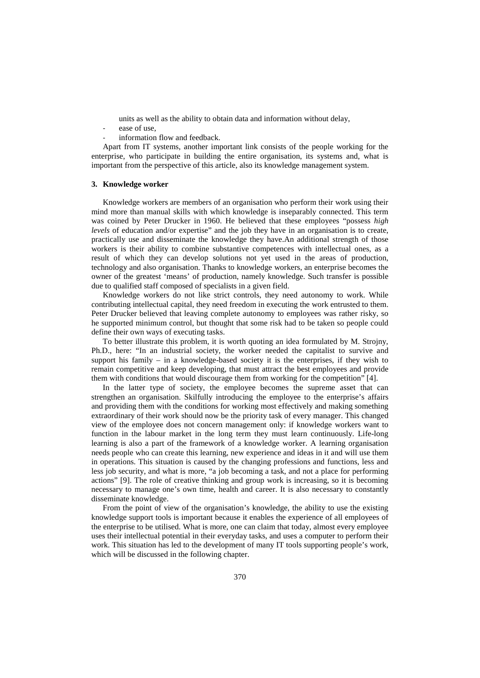units as well as the ability to obtain data and information without delay,

- ease of use,
- information flow and feedback.

Apart from IT systems, another important link consists of the people working for the enterprise, who participate in building the entire organisation, its systems and, what is important from the perspective of this article, also its knowledge management system.

#### **3. Knowledge worker**

Knowledge workers are members of an organisation who perform their work using their mind more than manual skills with which knowledge is inseparably connected. This term was coined by Peter Drucker in 1960. He believed that these employees "possess *high levels* of education and/or expertise" and the job they have in an organisation is to create, practically use and disseminate the knowledge they have.An additional strength of those workers is their ability to combine substantive competences with intellectual ones, as a result of which they can develop solutions not yet used in the areas of production, technology and also organisation. Thanks to knowledge workers, an enterprise becomes the owner of the greatest 'means' of production, namely knowledge. Such transfer is possible due to qualified staff composed of specialists in a given field.

Knowledge workers do not like strict controls, they need autonomy to work. While contributing intellectual capital, they need freedom in executing the work entrusted to them. Peter Drucker believed that leaving complete autonomy to employees was rather risky, so he supported minimum control, but thought that some risk had to be taken so people could define their own ways of executing tasks.

To better illustrate this problem, it is worth quoting an idea formulated by M. Strojny, Ph.D., here: "In an industrial society, the worker needed the capitalist to survive and support his family – in a knowledge-based society it is the enterprises, if they wish to remain competitive and keep developing, that must attract the best employees and provide them with conditions that would discourage them from working for the competition" [4].

In the latter type of society, the employee becomes the supreme asset that can strengthen an organisation. Skilfully introducing the employee to the enterprise's affairs and providing them with the conditions for working most effectively and making something extraordinary of their work should now be the priority task of every manager. This changed view of the employee does not concern management only: if knowledge workers want to function in the labour market in the long term they must learn continuously. Life-long learning is also a part of the framework of a knowledge worker. A learning organisation needs people who can create this learning, new experience and ideas in it and will use them in operations. This situation is caused by the changing professions and functions, less and less job security, and what is more, "a job becoming a task, and not a place for performing actions" [9]. The role of creative thinking and group work is increasing, so it is becoming necessary to manage one's own time, health and career. It is also necessary to constantly disseminate knowledge.

From the point of view of the organisation's knowledge, the ability to use the existing knowledge support tools is important because it enables the experience of all employees of the enterprise to be utilised. What is more, one can claim that today, almost every employee uses their intellectual potential in their everyday tasks, and uses a computer to perform their work. This situation has led to the development of many IT tools supporting people's work, which will be discussed in the following chapter.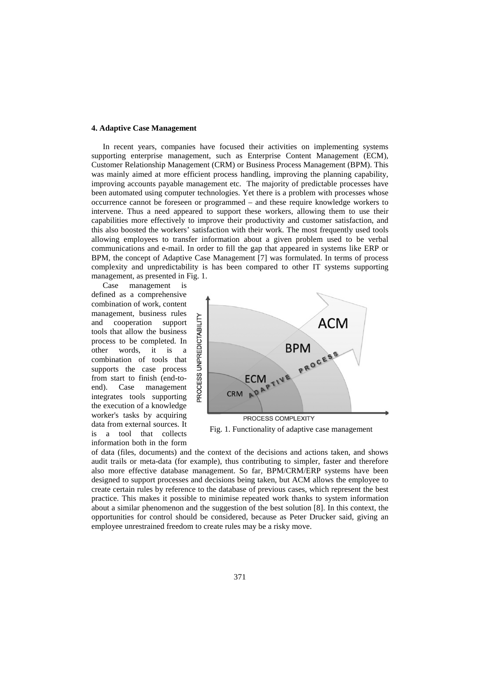#### **4. Adaptive Case Management**

In recent years, companies have focused their activities on implementing systems supporting enterprise management, such as Enterprise Content Management (ECM), Customer Relationship Management (CRM) or Business Process Management (BPM). This was mainly aimed at more efficient process handling, improving the planning capability, improving accounts payable management etc. The majority of predictable processes have been automated using computer technologies. Yet there is a problem with processes whose occurrence cannot be foreseen or programmed – and these require knowledge workers to intervene. Thus a need appeared to support these workers, allowing them to use their capabilities more effectively to improve their productivity and customer satisfaction, and this also boosted the workers' satisfaction with their work. The most frequently used tools allowing employees to transfer information about a given problem used to be verbal communications and e-mail. In order to fill the gap that appeared in systems like ERP or BPM, the concept of Adaptive Case Management [7] was formulated. In terms of process complexity and unpredictability is has been compared to other IT systems supporting management, as presented in Fig. 1.<br>Case management is

management is defined as a comprehensive combination of work, content management, business rules and cooperation support tools that allow the business process to be completed. In other words, it is a combination of tools that supports the case process from start to finish (end-toend). Case management integrates tools supporting the execution of a knowledge worker's tasks by acquiring data from external sources. It is a tool that collects information both in the form



Fig. 1. Functionality of adaptive case management

of data (files, documents) and the context of the decisions and actions taken, and shows audit trails or meta-data (for example), thus contributing to simpler, faster and therefore also more effective database management. So far, BPM/CRM/ERP systems have been designed to support processes and decisions being taken, but ACM allows the employee to create certain rules by reference to the database of previous cases, which represent the best practice. This makes it possible to minimise repeated work thanks to system information about a similar phenomenon and the suggestion of the best solution [8]. In this context, the opportunities for control should be considered, because as Peter Drucker said, giving an employee unrestrained freedom to create rules may be a risky move.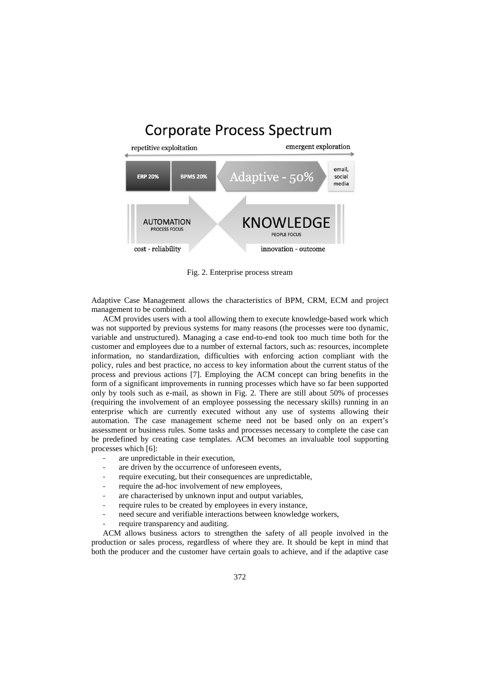# **Corporate Process Spectrum**



Fig. 2. Enterprise process stream

Adaptive Case Management allows the characteristics of BPM, CRM, ECM and project management to be combined.

ACM provides users with a tool allowing them to execute knowledge-based work which was not supported by previous systems for many reasons (the processes were too dynamic, variable and unstructured). Managing a case end-to-end took too much time both for the customer and employees due to a number of external factors, such as: resources, incomplete information, no standardization, difficulties with enforcing action compliant with the policy, rules and best practice, no access to key information about the current status of the process and previous actions [7]. Employing the ACM concept can bring benefits in the form of a significant improvements in running processes which have so far been supported only by tools such as e-mail, as shown in Fig. 2. There are still about 50% of processes (requiring the involvement of an employee possessing the necessary skills) running in an enterprise which are currently executed without any use of systems allowing their automation. The case management scheme need not be based only on an expert's assessment or business rules. Some tasks and processes necessary to complete the case can be predefined by creating case templates. ACM becomes an invaluable tool supporting processes which [6]:

- are unpredictable in their execution,
- are driven by the occurrence of unforeseen events,
- require executing, but their consequences are unpredictable,
- require the ad-hoc involvement of new employees,
- are characterised by unknown input and output variables,
- require rules to be created by employees in every instance,
- need secure and verifiable interactions between knowledge workers,
- require transparency and auditing.

ACM allows business actors to strengthen the safety of all people involved in the production or sales process, regardless of where they are. It should be kept in mind that both the producer and the customer have certain goals to achieve, and if the adaptive case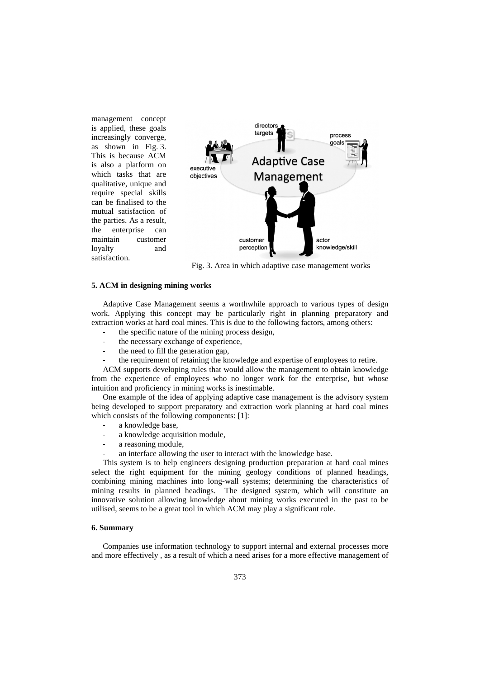management concept is applied, these goals increasingly converge, as shown in Fig. 3. This is because ACM is also a platform on which tasks that are qualitative, unique and require special skills can be finalised to the mutual satisfaction of the parties. As a result, the enterprise can maintain customer loyalty and satisfaction.



Fig. 3. Area in which adaptive case management works

## **5. ACM in designing mining works**

Adaptive Case Management seems a worthwhile approach to various types of design work. Applying this concept may be particularly right in planning preparatory and extraction works at hard coal mines. This is due to the following factors, among others:

- the specific nature of the mining process design,
- the necessary exchange of experience,
- the need to fill the generation gap.
- the requirement of retaining the knowledge and expertise of employees to retire.

ACM supports developing rules that would allow the management to obtain knowledge from the experience of employees who no longer work for the enterprise, but whose intuition and proficiency in mining works is inestimable.

One example of the idea of applying adaptive case management is the advisory system being developed to support preparatory and extraction work planning at hard coal mines which consists of the following components: [1]:

- a knowledge base,
- a knowledge acquisition module,
- a reasoning module,
- an interface allowing the user to interact with the knowledge base.

This system is to help engineers designing production preparation at hard coal mines select the right equipment for the mining geology conditions of planned headings, combining mining machines into long-wall systems; determining the characteristics of mining results in planned headings. The designed system, which will constitute an innovative solution allowing knowledge about mining works executed in the past to be utilised, seems to be a great tool in which ACM may play a significant role.

### **6. Summary**

Companies use information technology to support internal and external processes more and more effectively , as a result of which a need arises for a more effective management of